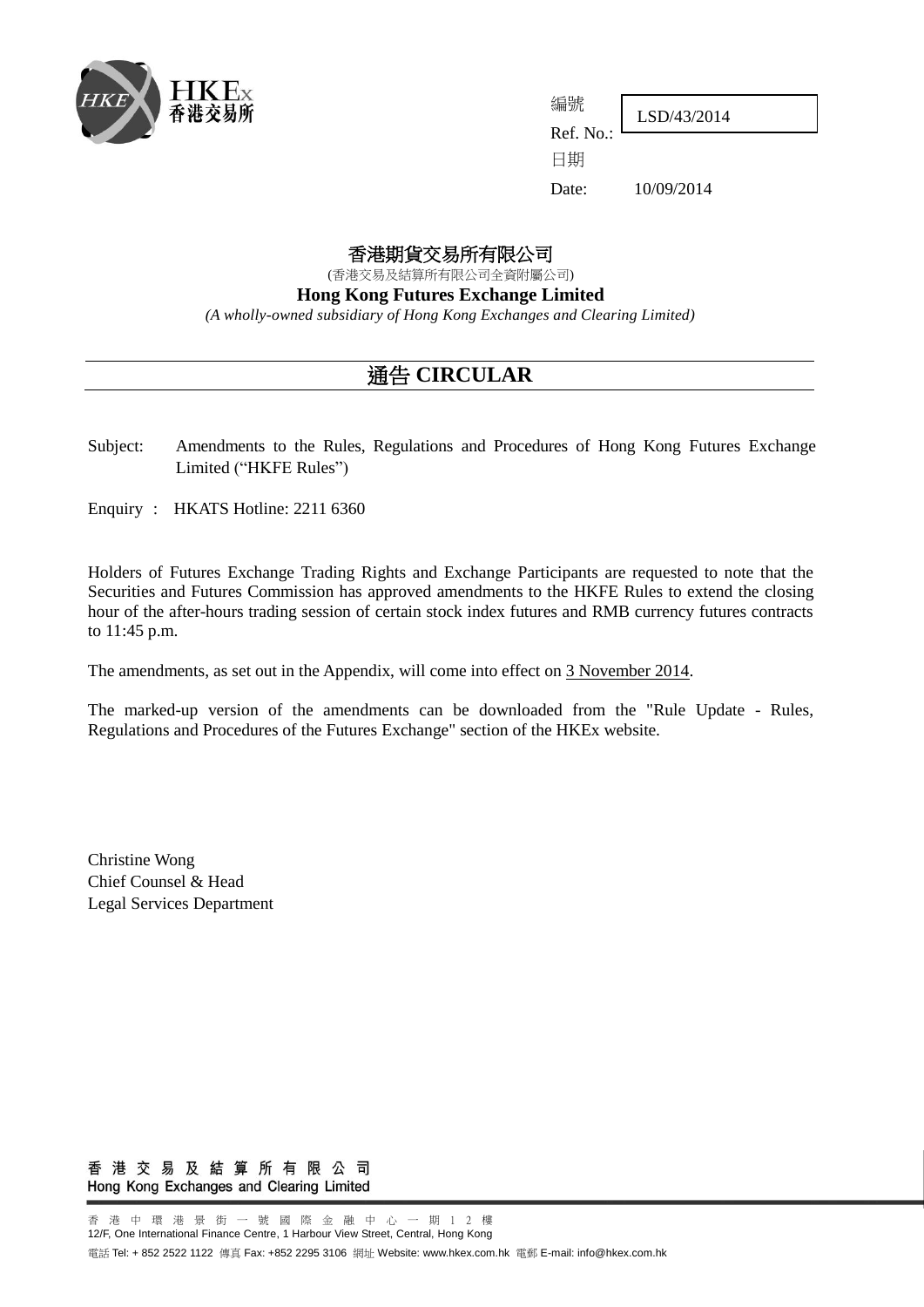

LSD/43/2014

Ref. No.: 日期

編號

Date: 10/09/2014

## 香港期貨交易所有限公司

(香港交易及結算所有限公司全資附屬公司)

**Hong Kong Futures Exchange Limited**

*(A wholly-owned subsidiary of Hong Kong Exchanges and Clearing Limited)*

# 通告 **CIRCULAR**

Subject: Amendments to the Rules, Regulations and Procedures of Hong Kong Futures Exchange Limited ("HKFE Rules")

Enquiry : HKATS Hotline: 2211 6360

Holders of Futures Exchange Trading Rights and Exchange Participants are requested to note that the Securities and Futures Commission has approved amendments to the HKFE Rules to extend the closing hour of the after-hours trading session of certain stock index futures and RMB currency futures contracts to 11:45 p.m.

The amendments, as set out in the Appendix, will come into effect on 3 November 2014.

The marked-up version of the amendments can be downloaded from the "Rule Update - Rules, Regulations and Procedures of the Futures Exchange" section of the HKEx website.

Christine Wong Chief Counsel & Head Legal Services Department

香港交易及結算所有限公司 Hong Kong Exchanges and Clearing Limited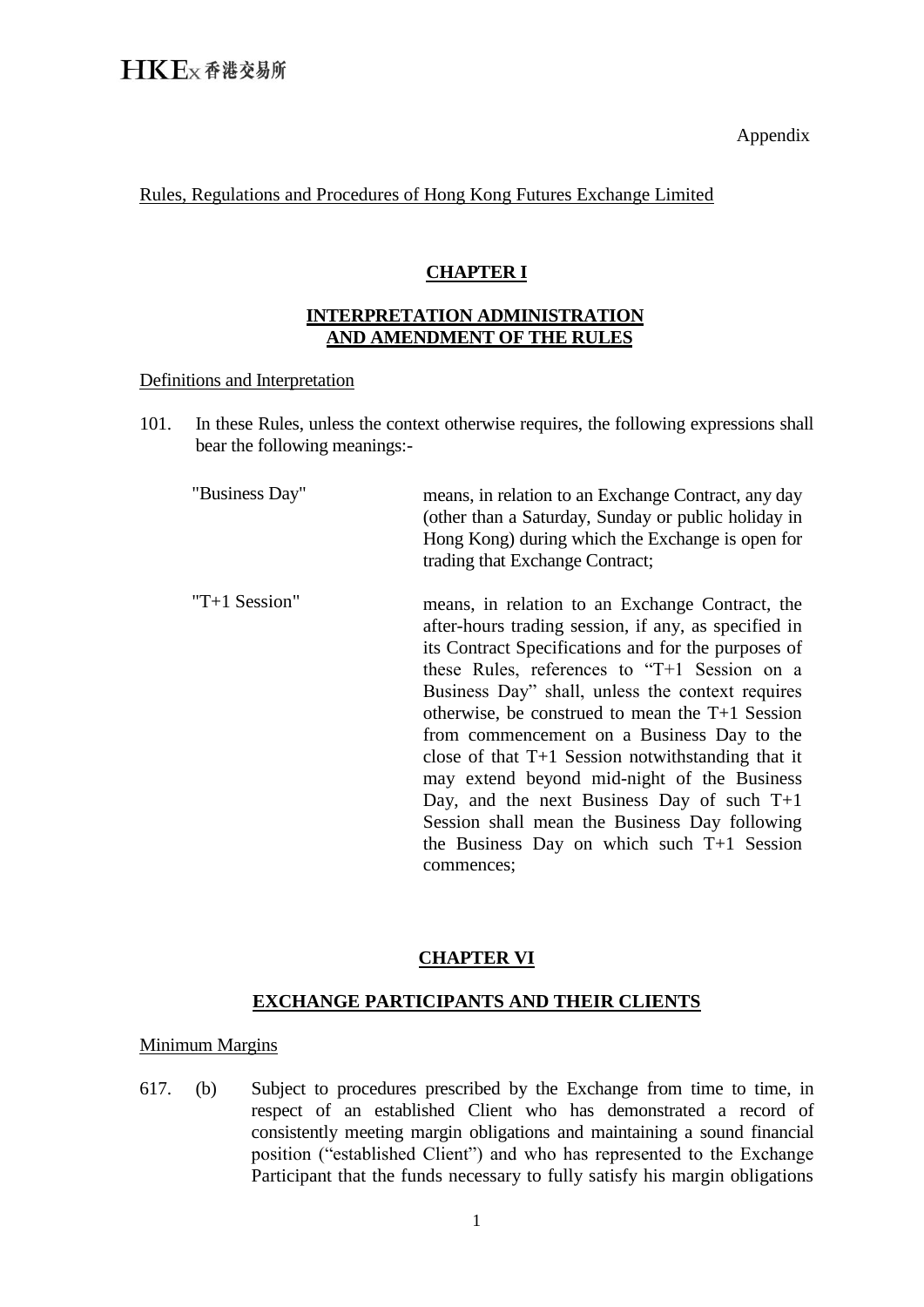Appendix

Rules, Regulations and Procedures of Hong Kong Futures Exchange Limited

## **CHAPTER I**

## **INTERPRETATION ADMINISTRATION AND AMENDMENT OF THE RULES**

#### Definitions and Interpretation

101. In these Rules, unless the context otherwise requires, the following expressions shall bear the following meanings:-

"Business Day" means, in relation to an Exchange Contract, any day (other than a Saturday, Sunday or public holiday in Hong Kong) during which the Exchange is open for trading that Exchange Contract;

"T+1 Session" means, in relation to an Exchange Contract, the after-hours trading session, if any, as specified in its Contract Specifications and for the purposes of these Rules, references to "T+1 Session on a Business Day" shall, unless the context requires otherwise, be construed to mean the T+1 Session from commencement on a Business Day to the close of that T+1 Session notwithstanding that it may extend beyond mid-night of the Business Day, and the next Business Day of such T+1 Session shall mean the Business Day following the Business Day on which such T+1 Session commences;

## **CHAPTER VI**

### **EXCHANGE PARTICIPANTS AND THEIR CLIENTS**

#### Minimum Margins

617. (b) Subject to procedures prescribed by the Exchange from time to time, in respect of an established Client who has demonstrated a record of consistently meeting margin obligations and maintaining a sound financial position ("established Client") and who has represented to the Exchange Participant that the funds necessary to fully satisfy his margin obligations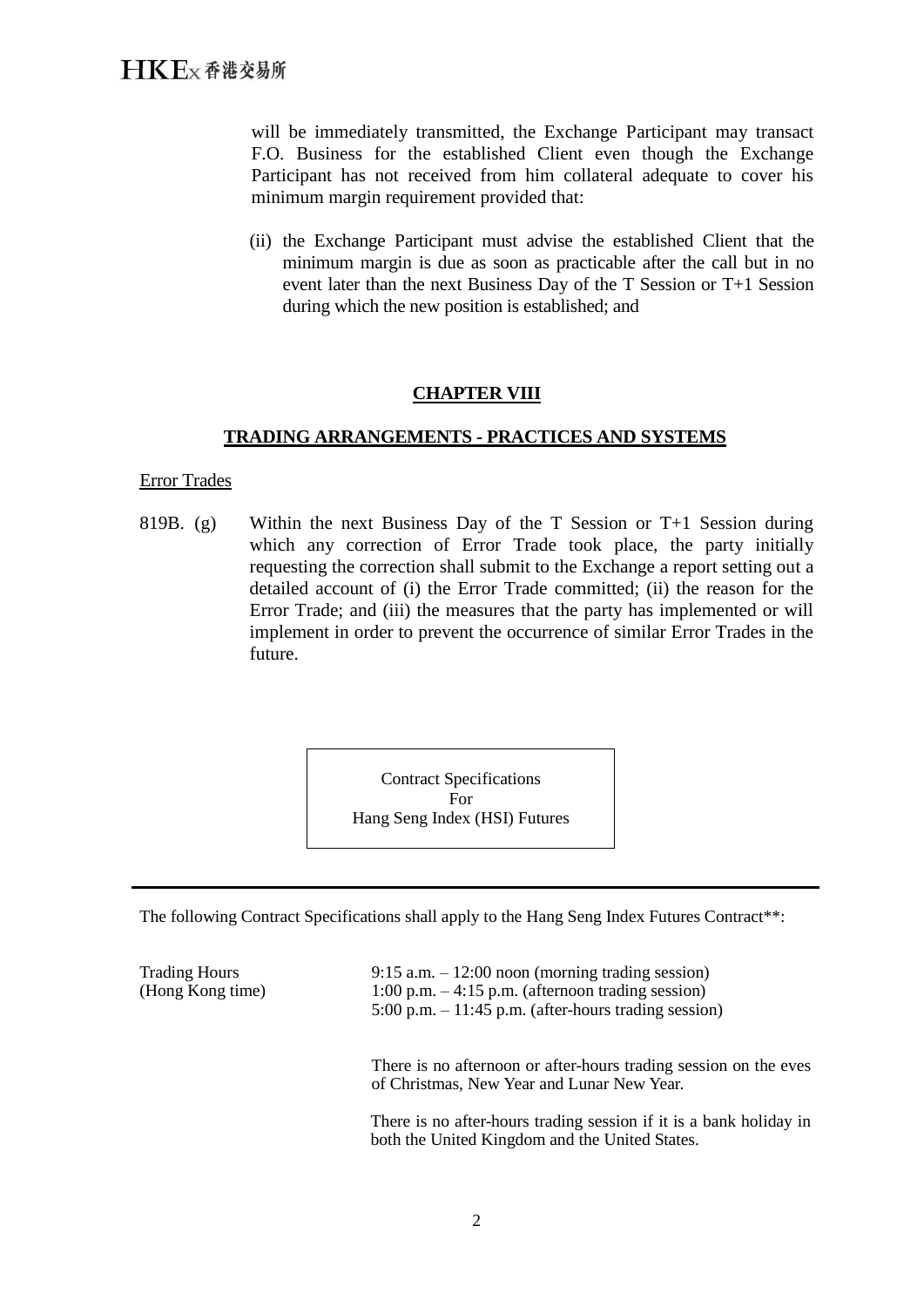will be immediately transmitted, the Exchange Participant may transact F.O. Business for the established Client even though the Exchange Participant has not received from him collateral adequate to cover his minimum margin requirement provided that:

(ii) the Exchange Participant must advise the established Client that the minimum margin is due as soon as practicable after the call but in no event later than the next Business Day of the T Session or T+1 Session during which the new position is established; and

### **CHAPTER VIII**

#### **TRADING ARRANGEMENTS - PRACTICES AND SYSTEMS**

Error Trades

819B. (g) Within the next Business Day of the T Session or  $T+1$  Session during which any correction of Error Trade took place, the party initially requesting the correction shall submit to the Exchange a report setting out a detailed account of (i) the Error Trade committed; (ii) the reason for the Error Trade; and (iii) the measures that the party has implemented or will implement in order to prevent the occurrence of similar Error Trades in the future.

> Contract Specifications For Hang Seng Index (HSI) Futures

The following Contract Specifications shall apply to the Hang Seng Index Futures Contract<sup>\*\*</sup>:

Trading Hours (Hong Kong time) 9:15 a.m. – 12:00 noon (morning trading session) 1:00 p.m.  $-4:15$  p.m. (afternoon trading session)  $5:00 \text{ p.m.} - 11:45 \text{ p.m.}$  (after-hours trading session) There is no afternoon or after-hours trading session on the eves of Christmas, New Year and Lunar New Year. There is no after-hours trading session if it is a bank holiday in both the United Kingdom and the United States.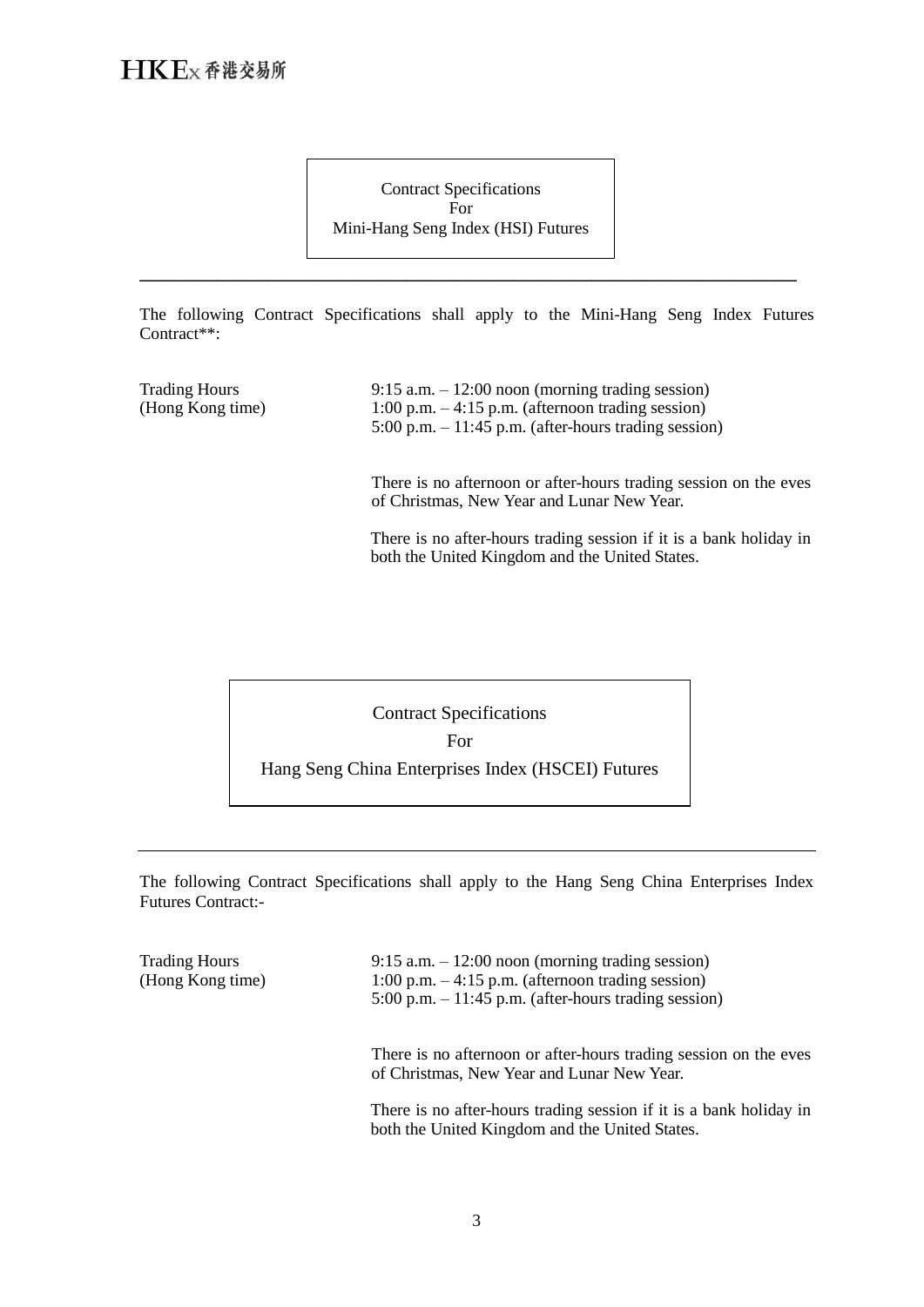Contract Specifications For Mini-Hang Seng Index (HSI) Futures

The following Contract Specifications shall apply to the Mini-Hang Seng Index Futures Contract\*\*:

\_\_\_\_\_\_\_\_\_\_\_\_\_\_\_\_\_\_\_\_\_\_\_\_\_\_\_\_\_\_\_\_\_\_\_\_\_\_\_\_\_\_\_\_\_\_\_\_\_\_\_\_\_\_\_\_\_\_\_\_\_\_\_\_\_\_\_\_\_\_\_\_\_\_\_\_\_

| <b>Trading Hours</b><br>(Hong Kong time) | $9:15$ a.m. $-12:00$ noon (morning trading session)<br>1:00 p.m. $-4:15$ p.m. (afternoon trading session)<br>$5:00$ p.m. $-11:45$ p.m. (after-hours trading session) |
|------------------------------------------|----------------------------------------------------------------------------------------------------------------------------------------------------------------------|
|                                          | There is no afternoon or after-hours trading session on the eves<br>of Christmas, New Year and Lunar New Year.                                                       |
|                                          | There is no after-hours trading session if it is a bank holiday in<br>both the United Kingdom and the United States.                                                 |



The following Contract Specifications shall apply to the Hang Seng China Enterprises Index Futures Contract:-

| <b>Trading Hours</b><br>(Hong Kong time) | $9:15$ a.m. $-12:00$ noon (morning trading session)<br>1:00 p.m. $-4:15$ p.m. (afternoon trading session)<br>$5:00$ p.m. $-11:45$ p.m. (after-hours trading session) |
|------------------------------------------|----------------------------------------------------------------------------------------------------------------------------------------------------------------------|
|                                          | There is no afternoon or after-hours trading session on the eves<br>of Christmas, New Year and Lunar New Year.                                                       |
|                                          | There is no after-hours trading session if it is a bank holiday in<br>both the United Kingdom and the United States.                                                 |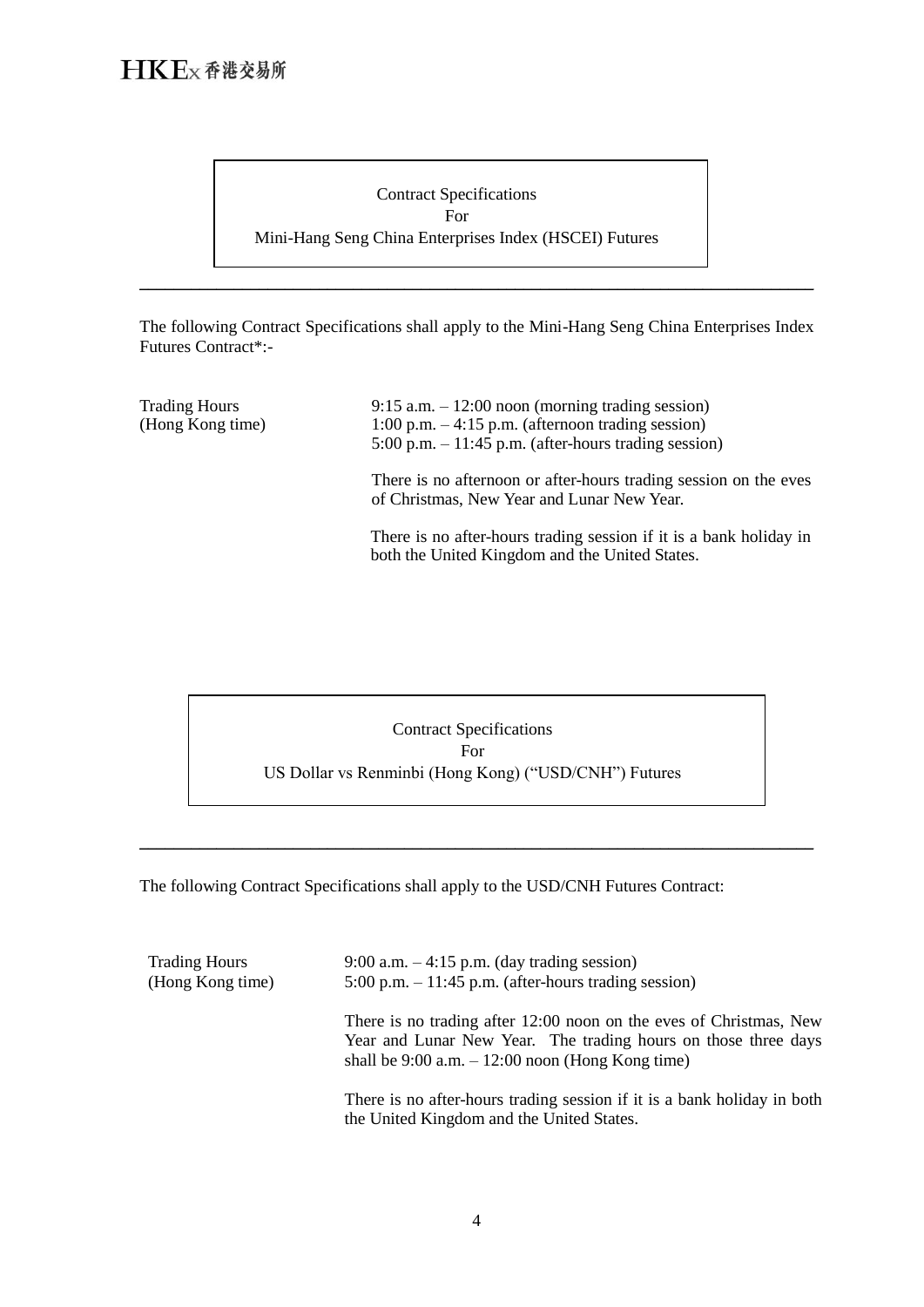

The following Contract Specifications shall apply to the Mini-Hang Seng China Enterprises Index Futures Contract\*:-

\_\_\_\_\_\_\_\_\_\_\_\_\_\_\_\_\_\_\_\_\_\_\_\_\_\_\_\_\_\_\_\_\_\_\_\_\_\_\_\_\_\_\_\_\_\_\_\_\_\_\_\_\_\_\_\_\_\_\_\_\_\_\_\_\_\_\_\_\_\_\_\_\_\_\_\_\_\_\_

| <b>Trading Hours</b><br>(Hong Kong time) | $9:15$ a.m. $-12:00$ noon (morning trading session)<br>1:00 p.m. $-4:15$ p.m. (afternoon trading session)<br>$5:00$ p.m. $-11:45$ p.m. (after-hours trading session) |
|------------------------------------------|----------------------------------------------------------------------------------------------------------------------------------------------------------------------|
|                                          | There is no afternoon or after-hours trading session on the eves<br>of Christmas, New Year and Lunar New Year.                                                       |
|                                          | There is no after-hours trading session if it is a bank holiday in<br>both the United Kingdom and the United States.                                                 |

Contract Specifications For US Dollar vs Renminbi (Hong Kong) ("USD/CNH") Futures

\_\_\_\_\_\_\_\_\_\_\_\_\_\_\_\_\_\_\_\_\_\_\_\_\_\_\_\_\_\_\_\_\_\_\_\_\_\_\_\_\_\_\_\_\_\_\_\_\_\_\_\_\_\_\_\_\_\_\_\_\_\_\_\_\_\_\_\_\_\_\_\_\_\_\_\_\_\_\_

The following Contract Specifications shall apply to the USD/CNH Futures Contract:

| <b>Trading Hours</b><br>(Hong Kong time) | $9:00$ a.m. $-4:15$ p.m. (day trading session)<br>$5:00$ p.m. $-11:45$ p.m. (after-hours trading session)                                                                                   |
|------------------------------------------|---------------------------------------------------------------------------------------------------------------------------------------------------------------------------------------------|
|                                          | There is no trading after 12:00 noon on the eves of Christmas, New<br>Year and Lunar New Year. The trading hours on those three days<br>shall be $9:00$ a.m. $-12:00$ noon (Hong Kong time) |
|                                          | There is no after-hours trading session if it is a bank holiday in both<br>the United Kingdom and the United States.                                                                        |